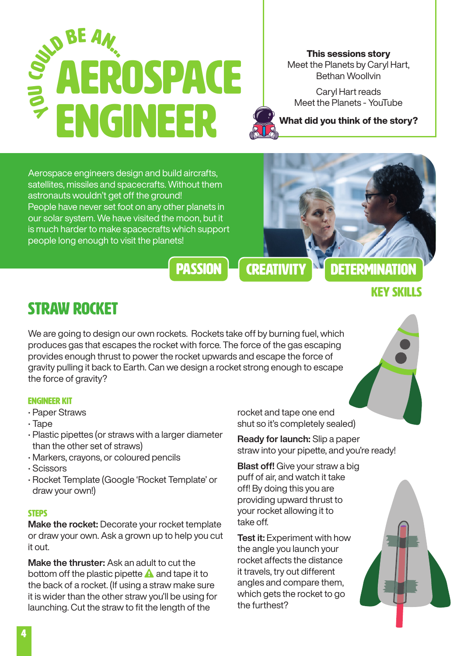# AEROSPACE ENGINEER **YON CON** COURE AN.

This sessions story Meet the Planets by Caryl Hart, Bethan Woollvin

[Caryl Hart reads](https://www.youtube.com/watch?v=KYfHPsQ4njs)  [Meet the Planets - YouTube](https://www.youtube.com/watch?v=KYfHPsQ4njs)



Aerospace engineers design and build aircrafts, satellites, missiles and spacecrafts. Without them astronauts wouldn't get off the ground! People have never set foot on any other planets in our solar system. We have visited the moon, but it is much harder to make spacecrafts which support people long enough to visit the planets!



## Key skills

### Straw Rocket

We are going to design our own rockets. Rockets take off by burning fuel, which produces gas that escapes the rocket with force. The force of the gas escaping provides enough thrust to power the rocket upwards and escape the force of gravity pulling it back to Earth. Can we design a rocket strong enough to escape the force of gravity?

#### Engineer Kit

- Paper Straws
- Tape
- Plastic pipettes (or straws with a larger diameter than the other set of straws)
- Markers, crayons, or coloured pencils
- Scissors
- Rocket Template (Google 'Rocket Template' or draw your own!)

#### **STEPS**

Make the rocket: Decorate your rocket template or draw your own. Ask a grown up to help you cut it out.

Make the thruster: Ask an adult to cut the bottom off the plastic pipette  $\triangle$  and tape it to the back of a rocket. (If using a straw make sure it is wider than the other straw you'll be using for launching. Cut the straw to fit the length of the

rocket and tape one end shut so it's completely sealed)

Ready for launch: Slip a paper straw into your pipette, and you're ready!

**Blast off!** Give your straw a big puff of air, and watch it take off! By doing this you are providing upward thrust to your rocket allowing it to take off.

**Test it: Experiment with how** the angle you launch your rocket affects the distance it travels, try out different angles and compare them, which gets the rocket to go the furthest?